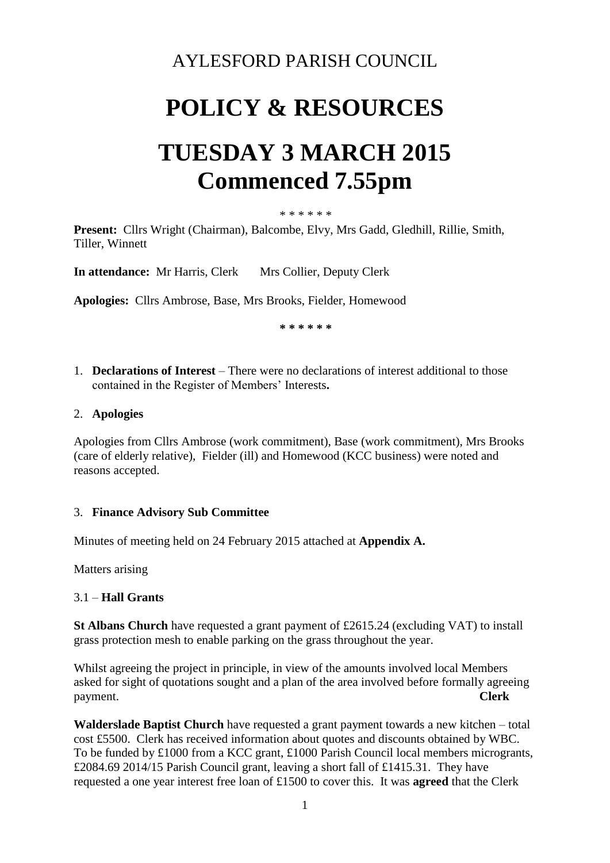### AYLESFORD PARISH COUNCIL

## **POLICY & RESOURCES**

# **TUESDAY 3 MARCH 2015 Commenced 7.55pm**

#### \* \* \* \* \* \*

**Present:** Cllrs Wright (Chairman), Balcombe, Elvy, Mrs Gadd, Gledhill, Rillie, Smith, Tiller, Winnett

**In attendance:** Mr Harris, Clerk Mrs Collier, Deputy Clerk

**Apologies:** Cllrs Ambrose, Base, Mrs Brooks, Fielder, Homewood

 **\* \* \* \* \* \*** 

1. **Declarations of Interest** – There were no declarations of interest additional to those contained in the Register of Members' Interests**.**

#### 2. **Apologies**

Apologies from Cllrs Ambrose (work commitment), Base (work commitment), Mrs Brooks (care of elderly relative), Fielder (ill) and Homewood (KCC business) were noted and reasons accepted.

#### 3. **Finance Advisory Sub Committee**

Minutes of meeting held on 24 February 2015 attached at **Appendix A.** 

Matters arising

#### 3.1 – **Hall Grants**

**St Albans Church** have requested a grant payment of £2615.24 (excluding VAT) to install grass protection mesh to enable parking on the grass throughout the year.

Whilst agreeing the project in principle, in view of the amounts involved local Members asked for sight of quotations sought and a plan of the area involved before formally agreeing payment. **Clerk**

**Walderslade Baptist Church** have requested a grant payment towards a new kitchen – total cost £5500. Clerk has received information about quotes and discounts obtained by WBC. To be funded by £1000 from a KCC grant, £1000 Parish Council local members microgrants, £2084.69 2014/15 Parish Council grant, leaving a short fall of £1415.31. They have requested a one year interest free loan of £1500 to cover this. It was **agreed** that the Clerk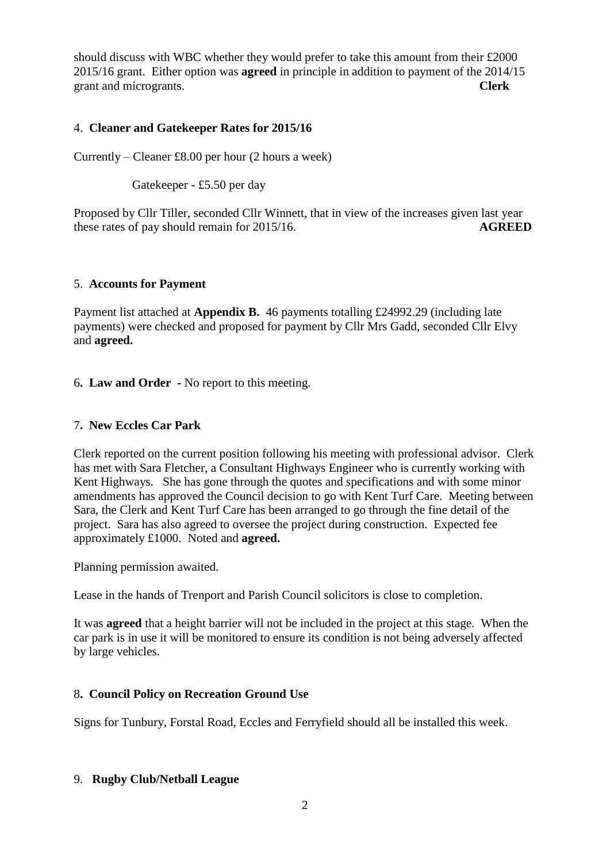should discuss with WBC whether they would prefer to take this amount from their £2000 2015/16 grant. Either option was **agreed** in principle in addition to payment of the 2014/15 grant and microgrants. **Clerk**

#### 4. **Cleaner and Gatekeeper Rates for 2015/16**

Currently – Cleaner £8.00 per hour (2 hours a week)

Gatekeeper - £5.50 per day

Proposed by Cllr Tiller, seconded Cllr Winnett, that in view of the increases given last year these rates of pay should remain for 2015/16. **AGREED**

#### 5. **Accounts for Payment**

Payment list attached at **Appendix B.** 46 payments totalling £24992.29 (including late payments) were checked and proposed for payment by Cllr Mrs Gadd, seconded Cllr Elvy and **agreed.**

6**. Law and Order -** No report to this meeting.

#### 7**. New Eccles Car Park**

Clerk reported on the current position following his meeting with professional advisor. Clerk has met with Sara Fletcher, a Consultant Highways Engineer who is currently working with Kent Highways. She has gone through the quotes and specifications and with some minor amendments has approved the Council decision to go with Kent Turf Care. Meeting between Sara, the Clerk and Kent Turf Care has been arranged to go through the fine detail of the project. Sara has also agreed to oversee the project during construction. Expected fee approximately £1000. Noted and **agreed.**

Planning permission awaited.

Lease in the hands of Trenport and Parish Council solicitors is close to completion.

It was **agreed** that a height barrier will not be included in the project at this stage. When the car park is in use it will be monitored to ensure its condition is not being adversely affected by large vehicles.

#### 8**. Council Policy on Recreation Ground Use**

Signs for Tunbury, Forstal Road, Eccles and Ferryfield should all be installed this week.

#### 9. **Rugby Club/Netball League**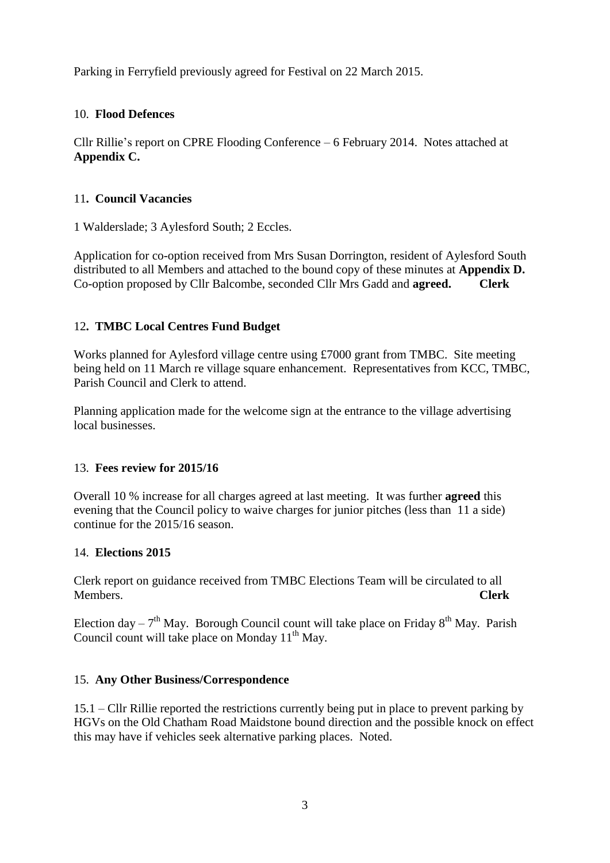Parking in Ferryfield previously agreed for Festival on 22 March 2015.

#### 10. **Flood Defences**

Cllr Rillie's report on CPRE Flooding Conference – 6 February 2014. Notes attached at **Appendix C.**

#### 11**. Council Vacancies**

1 Walderslade; 3 Aylesford South; 2 Eccles.

Application for co-option received from Mrs Susan Dorrington, resident of Aylesford South distributed to all Members and attached to the bound copy of these minutes at **Appendix D.**  Co-option proposed by Cllr Balcombe, seconded Cllr Mrs Gadd and **agreed. Clerk**

### 12**. TMBC Local Centres Fund Budget**

Works planned for Aylesford village centre using £7000 grant from TMBC. Site meeting being held on 11 March re village square enhancement. Representatives from KCC, TMBC, Parish Council and Clerk to attend.

Planning application made for the welcome sign at the entrance to the village advertising local businesses.

#### 13. **Fees review for 2015/16**

Overall 10 % increase for all charges agreed at last meeting. It was further **agreed** this evening that the Council policy to waive charges for junior pitches (less than 11 a side) continue for the 2015/16 season.

#### 14. **Elections 2015**

Clerk report on guidance received from TMBC Elections Team will be circulated to all Members. **Clerk**

Election day –  $7<sup>th</sup>$  May. Borough Council count will take place on Friday  $8<sup>th</sup>$  May. Parish Council count will take place on Monday  $11<sup>th</sup>$  May.

### 15. **Any Other Business/Correspondence**

15.1 – Cllr Rillie reported the restrictions currently being put in place to prevent parking by HGVs on the Old Chatham Road Maidstone bound direction and the possible knock on effect this may have if vehicles seek alternative parking places. Noted.